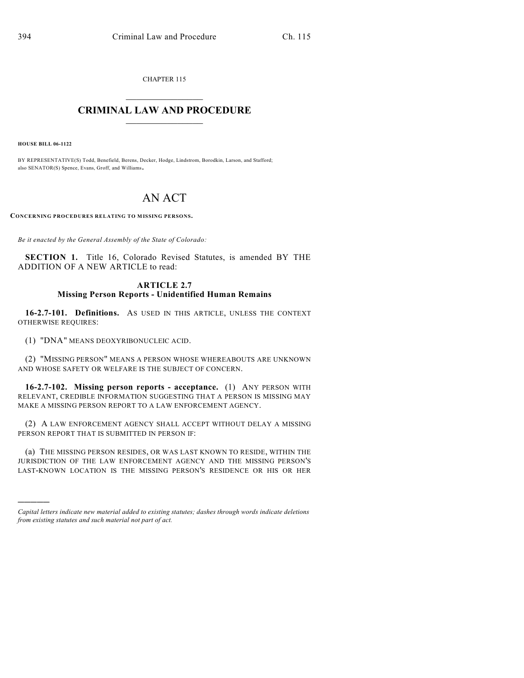CHAPTER 115

## $\mathcal{L}_\text{max}$  . The set of the set of the set of the set of the set of the set of the set of the set of the set of the set of the set of the set of the set of the set of the set of the set of the set of the set of the set **CRIMINAL LAW AND PROCEDURE**  $\frac{1}{2}$  ,  $\frac{1}{2}$  ,  $\frac{1}{2}$  ,  $\frac{1}{2}$  ,  $\frac{1}{2}$  ,  $\frac{1}{2}$  ,  $\frac{1}{2}$

**HOUSE BILL 06-1122**

)))))

BY REPRESENTATIVE(S) Todd, Benefield, Berens, Decker, Hodge, Lindstrom, Borodkin, Larson, and Stafford; also SENATOR(S) Spence, Evans, Groff, and Williams.

## AN ACT

**CONCERNING PROCEDURES RELATING TO MISSING PERSONS.**

*Be it enacted by the General Assembly of the State of Colorado:*

**SECTION 1.** Title 16, Colorado Revised Statutes, is amended BY THE ADDITION OF A NEW ARTICLE to read:

## **ARTICLE 2.7 Missing Person Reports - Unidentified Human Remains**

**16-2.7-101. Definitions.** AS USED IN THIS ARTICLE, UNLESS THE CONTEXT OTHERWISE REQUIRES:

(1) "DNA" MEANS DEOXYRIBONUCLEIC ACID.

(2) "MISSING PERSON" MEANS A PERSON WHOSE WHEREABOUTS ARE UNKNOWN AND WHOSE SAFETY OR WELFARE IS THE SUBJECT OF CONCERN.

**16-2.7-102. Missing person reports - acceptance.** (1) ANY PERSON WITH RELEVANT, CREDIBLE INFORMATION SUGGESTING THAT A PERSON IS MISSING MAY MAKE A MISSING PERSON REPORT TO A LAW ENFORCEMENT AGENCY.

(2) A LAW ENFORCEMENT AGENCY SHALL ACCEPT WITHOUT DELAY A MISSING PERSON REPORT THAT IS SUBMITTED IN PERSON IF:

(a) THE MISSING PERSON RESIDES, OR WAS LAST KNOWN TO RESIDE, WITHIN THE JURISDICTION OF THE LAW ENFORCEMENT AGENCY AND THE MISSING PERSON'S LAST-KNOWN LOCATION IS THE MISSING PERSON'S RESIDENCE OR HIS OR HER

*Capital letters indicate new material added to existing statutes; dashes through words indicate deletions from existing statutes and such material not part of act.*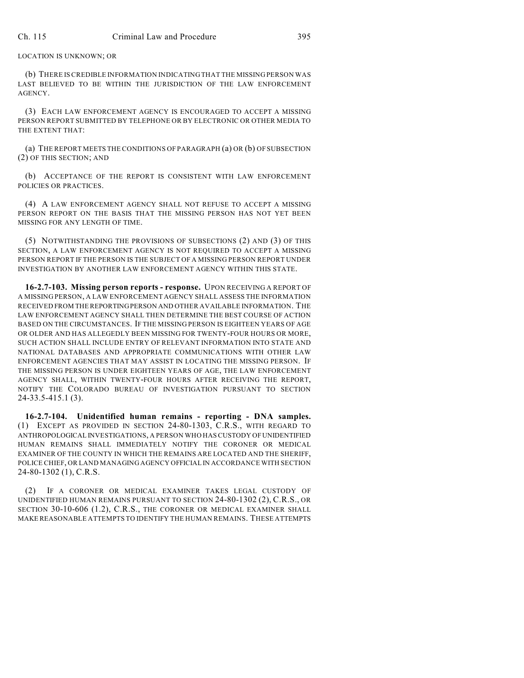## LOCATION IS UNKNOWN; OR

(b) THERE IS CREDIBLE INFORMATION INDICATING THAT THE MISSING PERSON WAS LAST BELIEVED TO BE WITHIN THE JURISDICTION OF THE LAW ENFORCEMENT AGENCY.

(3) EACH LAW ENFORCEMENT AGENCY IS ENCOURAGED TO ACCEPT A MISSING PERSON REPORT SUBMITTED BY TELEPHONE OR BY ELECTRONIC OR OTHER MEDIA TO THE EXTENT THAT:

(a) THE REPORT MEETS THE CONDITIONS OF PARAGRAPH (a) OR (b) OF SUBSECTION (2) OF THIS SECTION; AND

(b) ACCEPTANCE OF THE REPORT IS CONSISTENT WITH LAW ENFORCEMENT POLICIES OR PRACTICES.

(4) A LAW ENFORCEMENT AGENCY SHALL NOT REFUSE TO ACCEPT A MISSING PERSON REPORT ON THE BASIS THAT THE MISSING PERSON HAS NOT YET BEEN MISSING FOR ANY LENGTH OF TIME.

(5) NOTWITHSTANDING THE PROVISIONS OF SUBSECTIONS (2) AND (3) OF THIS SECTION, A LAW ENFORCEMENT AGENCY IS NOT REQUIRED TO ACCEPT A MISSING PERSON REPORT IF THE PERSON IS THE SUBJECT OF A MISSING PERSON REPORT UNDER INVESTIGATION BY ANOTHER LAW ENFORCEMENT AGENCY WITHIN THIS STATE.

**16-2.7-103. Missing person reports - response.** UPON RECEIVING A REPORT OF A MISSING PERSON, A LAW ENFORCEMENT AGENCY SHALL ASSESS THE INFORMATION RECEIVED FROM THE REPORTING PERSON AND OTHER AVAILABLE INFORMATION. THE LAW ENFORCEMENT AGENCY SHALL THEN DETERMINE THE BEST COURSE OF ACTION BASED ON THE CIRCUMSTANCES. IF THE MISSING PERSON IS EIGHTEEN YEARS OF AGE OR OLDER AND HAS ALLEGEDLY BEEN MISSING FOR TWENTY-FOUR HOURS OR MORE, SUCH ACTION SHALL INCLUDE ENTRY OF RELEVANT INFORMATION INTO STATE AND NATIONAL DATABASES AND APPROPRIATE COMMUNICATIONS WITH OTHER LAW ENFORCEMENT AGENCIES THAT MAY ASSIST IN LOCATING THE MISSING PERSON. IF THE MISSING PERSON IS UNDER EIGHTEEN YEARS OF AGE, THE LAW ENFORCEMENT AGENCY SHALL, WITHIN TWENTY-FOUR HOURS AFTER RECEIVING THE REPORT, NOTIFY THE COLORADO BUREAU OF INVESTIGATION PURSUANT TO SECTION 24-33.5-415.1 (3).

**16-2.7-104. Unidentified human remains - reporting - DNA samples.** (1) EXCEPT AS PROVIDED IN SECTION 24-80-1303, C.R.S., WITH REGARD TO ANTHROPOLOGICAL INVESTIGATIONS, A PERSON WHO HAS CUSTODY OF UNIDENTIFIED HUMAN REMAINS SHALL IMMEDIATELY NOTIFY THE CORONER OR MEDICAL EXAMINER OF THE COUNTY IN WHICH THE REMAINS ARE LOCATED AND THE SHERIFF, POLICE CHIEF, OR LAND MANAGING AGENCY OFFICIAL IN ACCORDANCE WITH SECTION 24-80-1302 (1), C.R.S.

(2) IF A CORONER OR MEDICAL EXAMINER TAKES LEGAL CUSTODY OF UNIDENTIFIED HUMAN REMAINS PURSUANT TO SECTION 24-80-1302 (2), C.R.S., OR SECTION 30-10-606 (1.2), C.R.S., THE CORONER OR MEDICAL EXAMINER SHALL MAKE REASONABLE ATTEMPTS TO IDENTIFY THE HUMAN REMAINS. THESE ATTEMPTS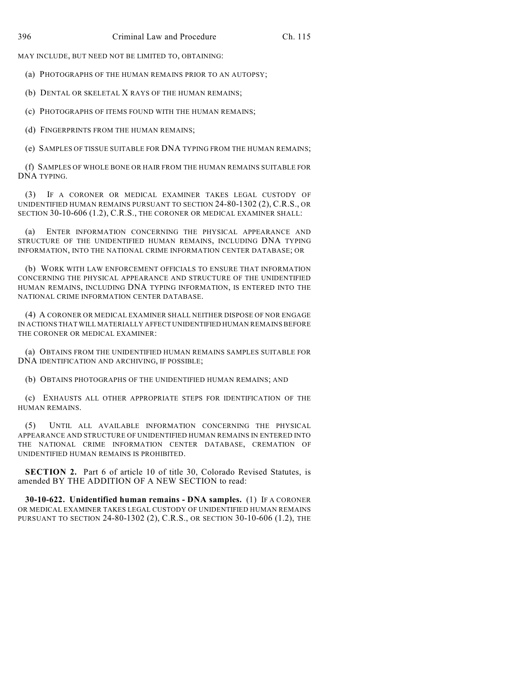MAY INCLUDE, BUT NEED NOT BE LIMITED TO, OBTAINING:

(a) PHOTOGRAPHS OF THE HUMAN REMAINS PRIOR TO AN AUTOPSY;

(b) DENTAL OR SKELETAL X RAYS OF THE HUMAN REMAINS;

(c) PHOTOGRAPHS OF ITEMS FOUND WITH THE HUMAN REMAINS;

(d) FINGERPRINTS FROM THE HUMAN REMAINS;

(e) SAMPLES OF TISSUE SUITABLE FOR DNA TYPING FROM THE HUMAN REMAINS;

(f) SAMPLES OF WHOLE BONE OR HAIR FROM THE HUMAN REMAINS SUITABLE FOR DNA TYPING.

(3) IF A CORONER OR MEDICAL EXAMINER TAKES LEGAL CUSTODY OF UNIDENTIFIED HUMAN REMAINS PURSUANT TO SECTION 24-80-1302 (2), C.R.S., OR SECTION 30-10-606 (1.2), C.R.S., THE CORONER OR MEDICAL EXAMINER SHALL:

(a) ENTER INFORMATION CONCERNING THE PHYSICAL APPEARANCE AND STRUCTURE OF THE UNIDENTIFIED HUMAN REMAINS, INCLUDING DNA TYPING INFORMATION, INTO THE NATIONAL CRIME INFORMATION CENTER DATABASE; OR

(b) WORK WITH LAW ENFORCEMENT OFFICIALS TO ENSURE THAT INFORMATION CONCERNING THE PHYSICAL APPEARANCE AND STRUCTURE OF THE UNIDENTIFIED HUMAN REMAINS, INCLUDING DNA TYPING INFORMATION, IS ENTERED INTO THE NATIONAL CRIME INFORMATION CENTER DATABASE.

(4) A CORONER OR MEDICAL EXAMINER SHALL NEITHER DISPOSE OF NOR ENGAGE IN ACTIONS THAT WILL MATERIALLY AFFECT UNIDENTIFIED HUMAN REMAINS BEFORE THE CORONER OR MEDICAL EXAMINER:

(a) OBTAINS FROM THE UNIDENTIFIED HUMAN REMAINS SAMPLES SUITABLE FOR DNA IDENTIFICATION AND ARCHIVING, IF POSSIBLE;

(b) OBTAINS PHOTOGRAPHS OF THE UNIDENTIFIED HUMAN REMAINS; AND

(c) EXHAUSTS ALL OTHER APPROPRIATE STEPS FOR IDENTIFICATION OF THE HUMAN REMAINS.

(5) UNTIL ALL AVAILABLE INFORMATION CONCERNING THE PHYSICAL APPEARANCE AND STRUCTURE OF UNIDENTIFIED HUMAN REMAINS IN ENTERED INTO THE NATIONAL CRIME INFORMATION CENTER DATABASE, CREMATION OF UNIDENTIFIED HUMAN REMAINS IS PROHIBITED.

**SECTION 2.** Part 6 of article 10 of title 30, Colorado Revised Statutes, is amended BY THE ADDITION OF A NEW SECTION to read:

**30-10-622. Unidentified human remains - DNA samples.** (1) IF A CORONER OR MEDICAL EXAMINER TAKES LEGAL CUSTODY OF UNIDENTIFIED HUMAN REMAINS PURSUANT TO SECTION 24-80-1302 (2), C.R.S., OR SECTION 30-10-606 (1.2), THE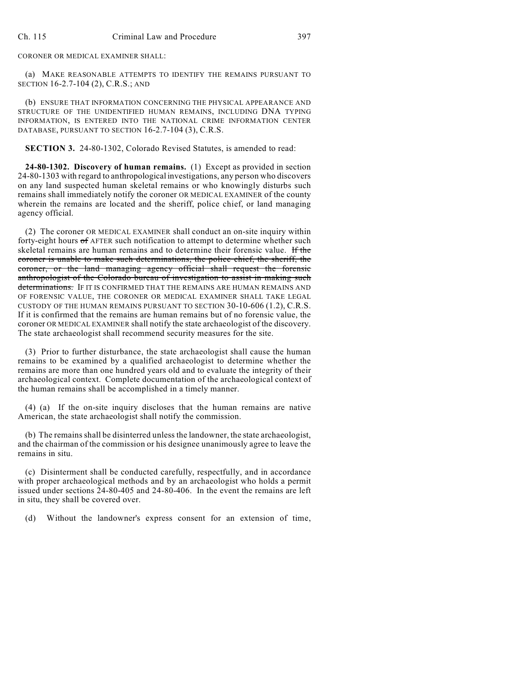CORONER OR MEDICAL EXAMINER SHALL:

(a) MAKE REASONABLE ATTEMPTS TO IDENTIFY THE REMAINS PURSUANT TO SECTION 16-2.7-104 (2), C.R.S.; AND

(b) ENSURE THAT INFORMATION CONCERNING THE PHYSICAL APPEARANCE AND STRUCTURE OF THE UNIDENTIFIED HUMAN REMAINS, INCLUDING DNA TYPING INFORMATION, IS ENTERED INTO THE NATIONAL CRIME INFORMATION CENTER DATABASE, PURSUANT TO SECTION 16-2.7-104 (3), C.R.S.

**SECTION 3.** 24-80-1302, Colorado Revised Statutes, is amended to read:

**24-80-1302. Discovery of human remains.** (1) Except as provided in section 24-80-1303 with regard to anthropological investigations, any person who discovers on any land suspected human skeletal remains or who knowingly disturbs such remains shall immediately notify the coroner OR MEDICAL EXAMINER of the county wherein the remains are located and the sheriff, police chief, or land managing agency official.

(2) The coroner OR MEDICAL EXAMINER shall conduct an on-site inquiry within forty-eight hours of AFTER such notification to attempt to determine whether such skeletal remains are human remains and to determine their forensic value. If the coroner is unable to make such determinations, the police chief, the sheriff, the coroner, or the land managing agency official shall request the forensic anthropologist of the Colorado bureau of investigation to assist in making such determinations. IF IT IS CONFIRMED THAT THE REMAINS ARE HUMAN REMAINS AND OF FORENSIC VALUE, THE CORONER OR MEDICAL EXAMINER SHALL TAKE LEGAL CUSTODY OF THE HUMAN REMAINS PURSUANT TO SECTION 30-10-606 (1.2), C.R.S. If it is confirmed that the remains are human remains but of no forensic value, the coroner OR MEDICAL EXAMINER shall notify the state archaeologist of the discovery. The state archaeologist shall recommend security measures for the site.

(3) Prior to further disturbance, the state archaeologist shall cause the human remains to be examined by a qualified archaeologist to determine whether the remains are more than one hundred years old and to evaluate the integrity of their archaeological context. Complete documentation of the archaeological context of the human remains shall be accomplished in a timely manner.

(4) (a) If the on-site inquiry discloses that the human remains are native American, the state archaeologist shall notify the commission.

(b) The remains shall be disinterred unless the landowner, the state archaeologist, and the chairman of the commission or his designee unanimously agree to leave the remains in situ.

(c) Disinterment shall be conducted carefully, respectfully, and in accordance with proper archaeological methods and by an archaeologist who holds a permit issued under sections 24-80-405 and 24-80-406. In the event the remains are left in situ, they shall be covered over.

(d) Without the landowner's express consent for an extension of time,